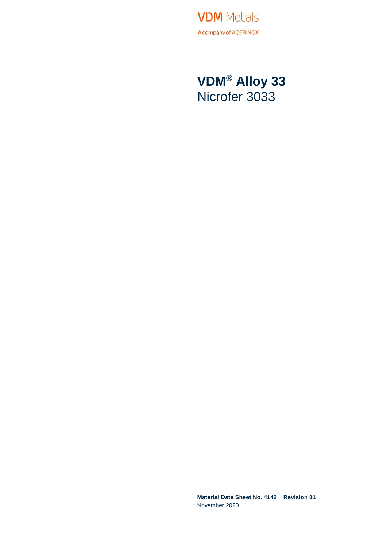**VDM** Metals A company of ACERINOX

**VDM® Alloy 33** Nicrofer 3033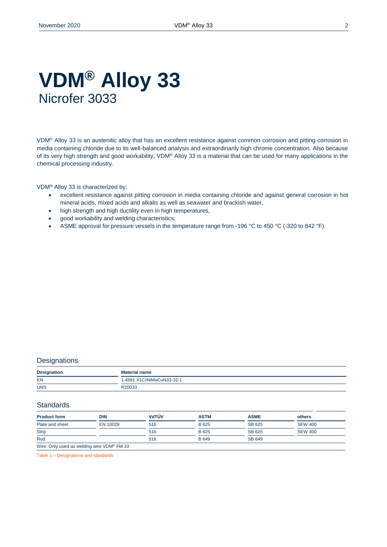### **VDM® Alloy 33** Nicrofer 3033

VDM® Alloy 33 is an austenitic alloy that has an excellent resistance against common corrosion and pitting corrosion in media containing chloride due to its well-balanced analysis and extraordinarily high chrome concentration. Also because of its very high strength and good workability, VDM® Alloy 33 is a material that can be used for many applications in the chemical processing industry.

VDM® Alloy 33 is characterized by:

- excellent resistance against pitting corrosion in media containing chloride and against general corrosion in hot mineral acids, mixed acids and alkalis as well as seawater and brackish water,
- high strength and high ductility even in high temperatures,
- good workability and welding characteristics,
- ASME approval for pressure vessels in the temperature range from -196 °C to 450 °C (-320 to 842 °F).

#### **Designations**

| <b>Designation</b> | <b>Material name</b>      |
|--------------------|---------------------------|
| EN                 | 1.4591 X1CrNiMoCuN33-32-1 |
| <b>UNS</b>         | R20033                    |

#### **Standards**

| <b>Product form</b> | <b>DIN</b>                                             | VdTÜV | <b>ASTM</b> | <b>ASME</b> | others         |
|---------------------|--------------------------------------------------------|-------|-------------|-------------|----------------|
| Plate and sheet     | EN 10029                                               | 516   | B 625       | SB 625      | <b>SEW 400</b> |
| <b>Strip</b>        |                                                        | 516   | B 625       | SB 625      | <b>SEW 400</b> |
| Rod                 |                                                        | 516   | B 649       | SB 649      |                |
|                     | Wire: Only used as welding wire VDM <sup>®</sup> FM 33 |       |             |             |                |

Table 1 – Designations and standards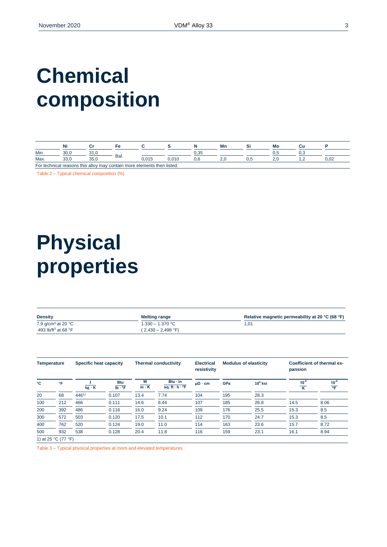# **Chemical composition**

|      | Ni           |                | Fе   |                                                                         |       |                              | Mr       |     | Mo  |                          |      |
|------|--------------|----------------|------|-------------------------------------------------------------------------|-------|------------------------------|----------|-----|-----|--------------------------|------|
| Min. | ח חד<br>JU.U |                |      |                                                                         |       | $\sim$ $\sim$ $\sim$<br>∪.∪∪ |          |     | v.J |                          |      |
| Max. | ບບ.ບ         | $\sim$<br>JJ.U | Bal. | 015<br>ט.ט וט                                                           | 0.010 | v.c                          | <u>.</u> | ∪.⊾ |     | $\overline{\phantom{a}}$ | 0.02 |
|      |              |                |      | For technical reasons this alloy may contain more elements then listed. |       |                              |          |     |     |                          |      |

Table 2 – Typical chemical composition (%)

# **Physical properties**

| <b>Density</b>                  | <b>Melting range</b>        | Relative magnetic permeability at 20 °C (68 °F) |
|---------------------------------|-----------------------------|-------------------------------------------------|
| 7,9 $q/cm3$ at 20 $°C$          | $1.330 - 1.370 °C$          | 1.01                                            |
| 493 lb/ft <sup>3</sup> at 68 °F | $(2,430 - 2,498 \degree F)$ |                                                 |

| Specific heat capacity<br><b>Temperature</b> |     |              | <b>Thermal conductivity</b>          | <b>Electrical</b><br>resistivity | <b>Modulus of elasticity</b>                  |                      | Coefficient of thermal ex-<br>pansion |            |                |                           |
|----------------------------------------------|-----|--------------|--------------------------------------|----------------------------------|-----------------------------------------------|----------------------|---------------------------------------|------------|----------------|---------------------------|
| °C                                           | °F  | $kg \cdot K$ | <b>Btu</b><br>$Ib \cdot {}^{\circ}F$ | W<br>$m \cdot K$                 | $Btu \cdot in$<br>sq. ft $\cdot$ h $\cdot$ °F | $\mu\Omega \cdot cm$ | GPa                                   | $10^6$ ksi | $10^{-6}$<br>K | $10^{-6}$<br>$^{\circ}$ F |
| 20                                           | 68  | $446^{1}$    | 0.107                                | 13.4                             | 7.74                                          | 104                  | 195                                   | 28.3       |                |                           |
| 100                                          | 212 | 466          | 0.111                                | 14.6                             | 8.44                                          | 107                  | 185                                   | 26.8       | 14.5           | 8.06                      |
| 200                                          | 392 | 486          | 0.116                                | 16.0                             | 9.24                                          | 109                  | 176                                   | 25.5       | 15.3           | 8.5                       |
| 300                                          | 572 | 503          | 0.120                                | 17.5                             | 10.1                                          | 112                  | 170                                   | 24.7       | 15.3           | 8.5                       |
| 400                                          | 762 | 520          | 0.124                                | 19.0                             | 11.0                                          | 114                  | 163                                   | 23.6       | 15.7           | 8.72                      |
| 500                                          | 932 | 538          | 0.128                                | 20.4                             | 11.8                                          | 116                  | 159                                   | 23.1       | 16.1           | 8.94                      |

Table 3 – Typical physical properties at room and elevated temperatures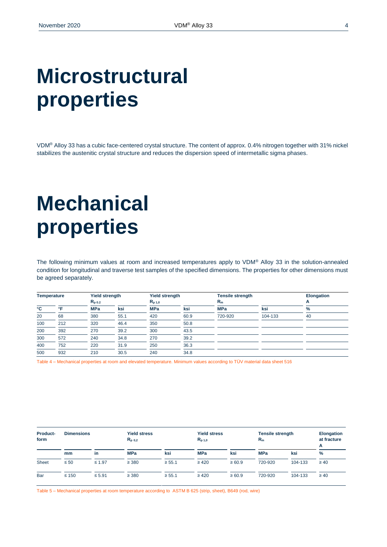# **Microstructural properties**

VDM® Alloy 33 has a cubic face-centered crystal structure. The content of approx. 0.4% nitrogen together with 31% nickel stabilizes the austenitic crystal structure and reduces the dispersion speed of intermetallic sigma phases.

# **Mechanical properties**

The following minimum values at room and increased temperatures apply to VDM® Alloy 33 in the solution-annealed condition for longitudinal and traverse test samples of the specified dimensions. The properties for other dimensions must be agreed separately.

| <b>Temperature</b> |              | <b>Yield strength</b> |      | <b>Yield strength</b> |      | <b>Tensile strength</b> |         | <b>Elongation</b> |
|--------------------|--------------|-----------------------|------|-----------------------|------|-------------------------|---------|-------------------|
|                    |              | $R_{p,0.2}$           |      | $R_{p,1,0}$           |      | $R_m$                   |         | А                 |
| °C                 | $^{\circ}$ E | <b>MPa</b>            | ksi  | <b>MPa</b>            | ksi  | <b>MPa</b>              | ksi     | %                 |
| 20                 | 68           | 380                   | 55.1 | 420                   | 60.9 | 720-920                 | 104-133 | 40                |
| 100                | 212          | 320                   | 46.4 | 350                   | 50.8 |                         |         |                   |
| 200                | 392          | 270                   | 39.2 | 300                   | 43.5 |                         |         |                   |
| 300                | 572          | 240                   | 34.8 | 270                   | 39.2 |                         |         |                   |
| 400                | 752          | 220                   | 31.9 | 250                   | 36.3 |                         |         |                   |
| 500                | 932          | 210                   | 30.5 | 240                   | 34.8 |                         |         |                   |

Table 4 – Mechanical properties at room and elevated temperature. Minimum values according to TÜV material data sheet 516

| <b>Product-</b><br>form | <b>Dimensions</b> |             | <b>Yield stress</b><br>$R_{p,0,2}$ |             | <b>Yield stress</b><br>$R_{p,1,0}$ |            | <b>Tensile strength</b><br>$R_m$ |         | <b>Elongation</b><br>at fracture<br>А |
|-------------------------|-------------------|-------------|------------------------------------|-------------|------------------------------------|------------|----------------------------------|---------|---------------------------------------|
|                         | mm                | in          | <b>MPa</b>                         | ksi         | <b>MPa</b>                         | ksi        | <b>MPa</b>                       | ksi     | $\%$                                  |
| <b>Sheet</b>            | $\leq 50$         | $\leq 1.97$ | $\geq$ 380                         | $\geq 55.1$ | $\geq 420$                         | $\ge 60.9$ | 720-920                          | 104-133 | $\geq 40$                             |
| Bar                     | $\leq 150$        | $\leq 5.91$ | $\geq$ 380                         | $\geq 55.1$ | $\geq 420$                         | $\ge 60.9$ | 720-920                          | 104-133 | $\geq 40$                             |

Table 5 – Mechanical properties at room temperature according to ASTM B 625 (strip, sheet), B649 (rod, wire)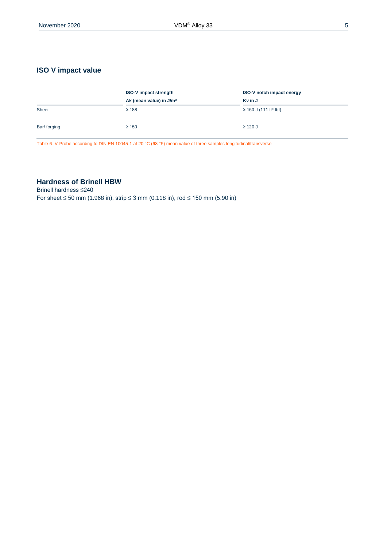### **ISO V impact value**

|              | <b>ISO-V impact strength</b>        | <b>ISO-V notch impact energy</b> |
|--------------|-------------------------------------|----------------------------------|
|              | Ak (mean value) in J/m <sup>2</sup> | Kv in J                          |
| Sheet        | $\geq 188$                          | $\geq$ 150 J (111 ft* lbf)       |
| Bar/ forging | $\geq 150$                          | $\geq$ 120 J                     |

Table 6- V-Probe according to DIN EN 10045-1 at 20 °C (68 °F) mean value of three samples longitudinal/transverse

### **Hardness of Brinell HBW**

Brinell hardness ≤240 For sheet ≤ 50 mm (1.968 in), strip ≤ 3 mm (0.118 in), rod ≤ 150 mm (5.90 in)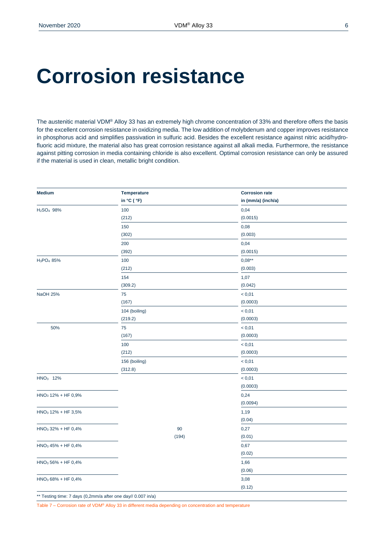### **Corrosion resistance**

The austenitic material VDM® Alloy 33 has an extremely high chrome concentration of 33% and therefore offers the basis for the excellent corrosion resistance in oxidizing media. The low addition of molybdenum and copper improves resistance in phosphorus acid and simplifies passivation in sulfuric acid. Besides the excellent resistance against nitric acid/hydrofluoric acid mixture, the material also has great corrosion resistance against all alkali media. Furthermore, the resistance against pitting corrosion in media containing chloride is also excellent. Optimal corrosion resistance can only be assured if the material is used in clean, metallic bright condition.

| <b>Medium</b>                      | Temperature   | <b>Corrosion rate</b> |  |
|------------------------------------|---------------|-----------------------|--|
|                                    | in °C ( °F)   | in (mm/a) (inch/a)    |  |
| H <sub>2</sub> SO <sub>4</sub> 98% | 100           | 0,04                  |  |
|                                    | (212)         | (0.0015)              |  |
|                                    | 150           | 0,08                  |  |
|                                    | (302)         | (0.003)               |  |
|                                    | 200           | 0,04                  |  |
|                                    | (392)         | (0.0015)              |  |
| H <sub>3</sub> PO <sub>4</sub> 85% | 100           | $0,08***$             |  |
|                                    | (212)         | (0.003)               |  |
|                                    | 154           | 1,07                  |  |
|                                    | (309.2)       | (0.042)               |  |
| <b>NaOH 25%</b>                    | 75            | < 0,01                |  |
|                                    | (167)         | (0.0003)              |  |
|                                    | 104 (boiling) | < 0,01                |  |
|                                    | (219.2)       | (0.0003)              |  |
| 50%                                | 75            | < 0,01                |  |
|                                    | (167)         | (0.0003)              |  |
|                                    | 100           | < 0,01                |  |
|                                    | (212)         | (0.0003)              |  |
|                                    | 156 (boiling) | < 0,01                |  |
|                                    | (312.8)       | (0.0003)              |  |
| HNO <sub>3</sub> 12%               |               | < 0,01                |  |
|                                    |               | (0.0003)              |  |
| $HNO3 12% + HF 0,9%$               |               | 0,24                  |  |
|                                    |               | (0.0094)              |  |
| $HNO3 12% + HF 3,5%$               |               | 1,19                  |  |
|                                    |               | (0.04)                |  |
| $HNO3 32% + HF 0,4%$               | 90            | 0,27                  |  |
|                                    | (194)         | (0.01)                |  |
| $HNO3 45% + HF 0,4%$               |               | 0,67                  |  |
|                                    |               | (0.02)                |  |
| $HNO3 56% + HF 0,4%$               |               | 1,66                  |  |
|                                    |               | (0.06)                |  |
| $HNO3 68% + HF 0,4%$               |               | 3,08                  |  |
|                                    |               | (0.12)                |  |

\*\* Testing time: 7 days (0,2mm/a after one day// 0.007 in/a)

Table 7 – Corrosion rate of VDM® Alloy 33 in different media depending on concentration and temperature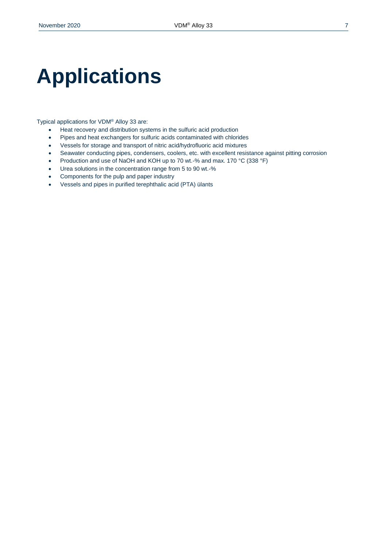# **Applications**

Typical applications for VDM® Alloy 33 are:

- Heat recovery and distribution systems in the sulfuric acid production
- Pipes and heat exchangers for sulfuric acids contaminated with chlorides
- Vessels for storage and transport of nitric acid/hydrofluoric acid mixtures
- Seawater conducting pipes, condensers, coolers, etc. with excellent resistance against pitting corrosion
- Production and use of NaOH and KOH up to 70 wt.-% and max. 170 °C (338 °F)
- Urea solutions in the concentration range from 5 to 90 wt.-%
- Components for the pulp and paper industry
- Vessels and pipes in purified terephthalic acid (PTA) ülants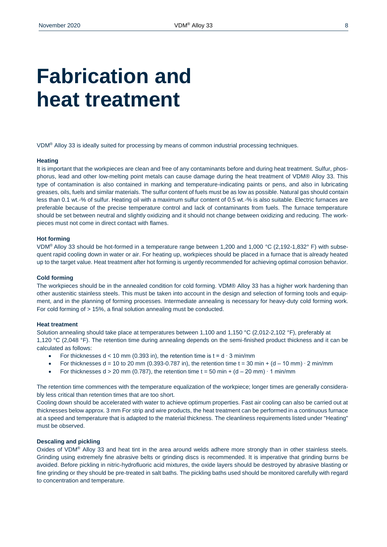## **Fabrication and heat treatment**

VDM® Alloy 33 is ideally suited for processing by means of common industrial processing techniques.

#### **Heating**

It is important that the workpieces are clean and free of any contaminants before and during heat treatment. Sulfur, phosphorus, lead and other low-melting point metals can cause damage during the heat treatment of VDM® Alloy 33. This type of contamination is also contained in marking and temperature-indicating paints or pens, and also in lubricating greases, oils, fuels and similar materials. The sulfur content of fuels must be as low as possible. Natural gas should contain less than 0.1 wt.-% of sulfur. Heating oil with a maximum sulfur content of 0.5 wt.-% is also suitable. Electric furnaces are preferable because of the precise temperature control and lack of contaminants from fuels. The furnace temperature should be set between neutral and slightly oxidizing and it should not change between oxidizing and reducing. The workpieces must not come in direct contact with flames.

#### **Hot forming**

VDM® Alloy 33 should be hot-formed in a temperature range between 1,200 and 1,000 °C (2,192-1,832° F) with subsequent rapid cooling down in water or air. For heating up, workpieces should be placed in a furnace that is already heated up to the target value. Heat treatment after hot forming is urgently recommended for achieving optimal corrosion behavior.

#### **Cold forming**

The workpieces should be in the annealed condition for cold forming. VDM® Alloy 33 has a higher work hardening than other austenitic stainless steels. This must be taken into account in the design and selection of forming tools and equipment, and in the planning of forming processes. Intermediate annealing is necessary for heavy-duty cold forming work. For cold forming of > 15%, a final solution annealing must be conducted.

#### **Heat treatment**

Solution annealing should take place at temperatures between 1,100 and 1,150 °C (2,012-2,102 °F), preferably at 1,120 °C (2,048 °F). The retention time during annealing depends on the semi-finished product thickness and it can be calculated as follows:

- For thicknesses  $d < 10$  mm (0.393 in), the retention time is  $t = d \cdot 3$  min/mm
- For thicknesses d = 10 to 20 mm (0.393-0.787 in), the retention time t = 30 min + (d 10 mm)  $\cdot$  2 min/mm
- For thicknesses d > 20 mm (0.787), the retention time t = 50 min + (d 20 mm)  $\cdot$  1 min/mm

The retention time commences with the temperature equalization of the workpiece; longer times are generally considerably less critical than retention times that are too short.

Cooling down should be accelerated with water to achieve optimum properties. Fast air cooling can also be carried out at thicknesses below approx. 3 mm For strip and wire products, the heat treatment can be performed in a continuous furnace at a speed and temperature that is adapted to the material thickness. The cleanliness requirements listed under "Heating" must be observed.

#### **Descaling and pickling**

Oxides of VDM® Alloy 33 and heat tint in the area around welds adhere more strongly than in other stainless steels. Grinding using extremely fine abrasive belts or grinding discs is recommended. It is imperative that grinding burns be avoided. Before pickling in nitric-hydrofluoric acid mixtures, the oxide layers should be destroyed by abrasive blasting or fine grinding or they should be pre-treated in salt baths. The pickling baths used should be monitored carefully with regard to concentration and temperature.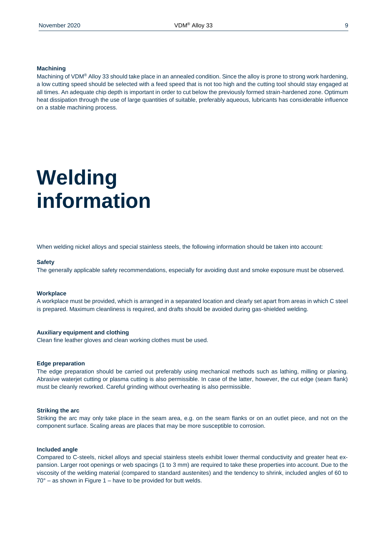#### **Machining**

Machining of VDM® Alloy 33 should take place in an annealed condition. Since the alloy is prone to strong work hardening, a low cutting speed should be selected with a feed speed that is not too high and the cutting tool should stay engaged at all times. An adequate chip depth is important in order to cut below the previously formed strain-hardened zone. Optimum heat dissipation through the use of large quantities of suitable, preferably aqueous, lubricants has considerable influence on a stable machining process.

## **Welding information**

When welding nickel alloys and special stainless steels, the following information should be taken into account:

#### **Safety**

The generally applicable safety recommendations, especially for avoiding dust and smoke exposure must be observed.

#### **Workplace**

A workplace must be provided, which is arranged in a separated location and clearly set apart from areas in which C steel is prepared. Maximum cleanliness is required, and drafts should be avoided during gas-shielded welding.

#### **Auxiliary equipment and clothing**

Clean fine leather gloves and clean working clothes must be used.

#### **Edge preparation**

The edge preparation should be carried out preferably using mechanical methods such as lathing, milling or planing. Abrasive waterjet cutting or plasma cutting is also permissible. In case of the latter, however, the cut edge (seam flank) must be cleanly reworked. Careful grinding without overheating is also permissible.

#### **Striking the arc**

Striking the arc may only take place in the seam area, e.g. on the seam flanks or on an outlet piece, and not on the component surface. Scaling areas are places that may be more susceptible to corrosion.

#### **Included angle**

Compared to C-steels, nickel alloys and special stainless steels exhibit lower thermal conductivity and greater heat expansion. Larger root openings or web spacings (1 to 3 mm) are required to take these properties into account. Due to the viscosity of the welding material (compared to standard austenites) and the tendency to shrink, included angles of 60 to  $70^\circ$  – as shown in Figure 1 – have to be provided for butt welds.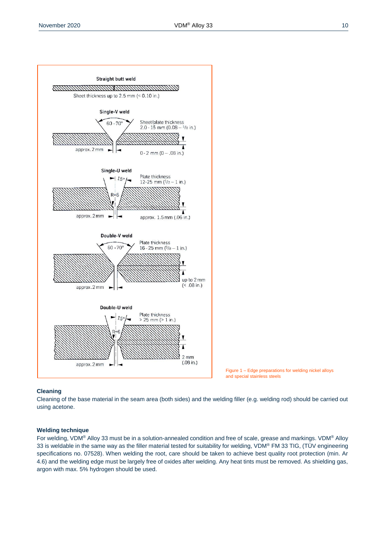



#### **Cleaning**

Cleaning of the base material in the seam area (both sides) and the welding filler (e.g. welding rod) should be carried out using acetone.

 $2 \, \text{mm}$  $(.08 \text{ in.})$ 

 $(< .08$  in.)

#### **Welding technique**

approx. 2 mm

approx. 2 mm

Double-U weld

 $15$ 

Plate thickness

 $25 \text{ mm} (> 1 \text{ in.})$ 

For welding, VDM® Alloy 33 must be in a solution-annealed condition and free of scale, grease and markings. VDM® Alloy 33 is weldable in the same way as the filler material tested for suitability for welding, VDM® FM 33 TIG, (TÜV engineering specifications no. 07528). When welding the root, care should be taken to achieve best quality root protection (min. Ar 4.6) and the welding edge must be largely free of oxides after welding. Any heat tints must be removed. As shielding gas, argon with max. 5% hydrogen should be used.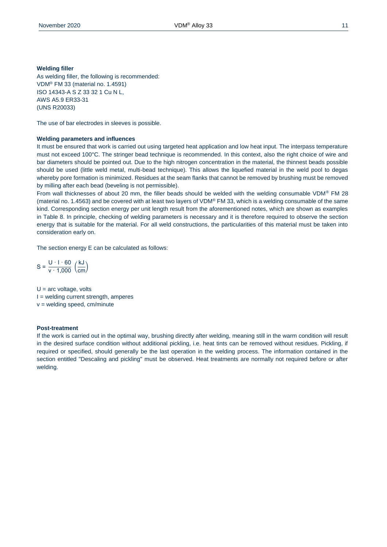#### **Welding filler**

As welding filler, the following is recommended: VDM® FM 33 (material no. 1.4591) ISO 14343-A S Z 33 32 1 Cu N L, AWS A5.9 ER33-31 (UNS R20033)

The use of bar electrodes in sleeves is possible.

#### **Welding parameters and influences**

It must be ensured that work is carried out using targeted heat application and low heat input. The interpass temperature must not exceed 100°C. The stringer bead technique is recommended. In this context, also the right choice of wire and bar diameters should be pointed out. Due to the high nitrogen concentration in the material, the thinnest beads possible should be used (little weld metal, multi-bead technique). This allows the liquefied material in the weld pool to degas whereby pore formation is minimized. Residues at the seam flanks that cannot be removed by brushing must be removed by milling after each bead (beveling is not permissible).

From wall thicknesses of about 20 mm, the filler beads should be welded with the welding consumable VDM® FM 28 (material no. 1.4563) and be covered with at least two layers of VDM® FM 33, which is a welding consumable of the same kind. Corresponding section energy per unit length result from the aforementioned notes, which are shown as examples in Table 8. In principle, checking of welding parameters is necessary and it is therefore required to observe the section energy that is suitable for the material. For all weld constructions, the particularities of this material must be taken into consideration early on.

The section energy E can be calculated as follows:

 $S = \frac{U \cdot 1 \cdot 60}{v \cdot 1,000} \left(\frac{kJ}{cm}\right)$ 

 $U = arc$  voltage, volts  $I =$  welding current strength, amperes  $v =$  welding speed, cm/minute

#### **Post-treatment**

If the work is carried out in the optimal way, brushing directly after welding, meaning still in the warm condition will result in the desired surface condition without additional pickling, i.e. heat tints can be removed without residues. Pickling, if required or specified, should generally be the last operation in the welding process. The information contained in the section entitled "Descaling and pickling" must be observed. Heat treatments are normally not required before or after welding.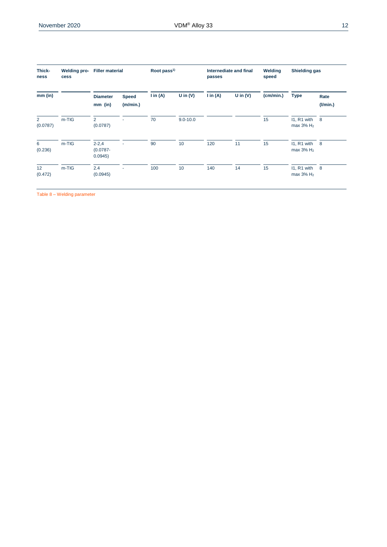| Thick-<br>ness | <b>Welding pro-</b><br>cess | <b>Filler material</b>              |                          | Root pass <sup>1)</sup> |              | passes              | Internediate and final | Welding<br>speed | <b>Shielding gas</b>                      |                        |
|----------------|-----------------------------|-------------------------------------|--------------------------|-------------------------|--------------|---------------------|------------------------|------------------|-------------------------------------------|------------------------|
| $mm$ (in)      |                             | <b>Diameter</b><br>$mm$ (in)        | <b>Speed</b><br>(m/min.) | $\mathsf{I}$ in (A)     | U in $(V)$   | $\mathsf{I}$ in (A) | U in $(V)$             | (cm/min.)        | <b>Type</b>                               | Rate<br>$($ l/min. $)$ |
| 2<br>(0.0787)  | $m-TIG$                     | $\overline{2}$<br>(0.0787)          |                          | 70                      | $9.0 - 10.0$ |                     |                        | 15               | I1, R1 with<br>max $3\%$ H <sub>2</sub>   | $_{\rm 8}$             |
| 6<br>(0.236)   | $m-TIG$                     | $2 - 2, 4$<br>$(0.0787 -$<br>0.0945 |                          | 90                      | 10           | 120                 | 11                     | 15               | 11, R1 with 8<br>max $3\%$ H <sub>2</sub> |                        |
| 12<br>(0.472)  | $m-TIG$                     | 2.4<br>(0.0945)                     | ٠                        | 100                     | 10           | 140                 | 14                     | 15               | I1, R1 with<br>max $3\%$ H <sub>2</sub>   | 8                      |

Table 8 – Welding parameter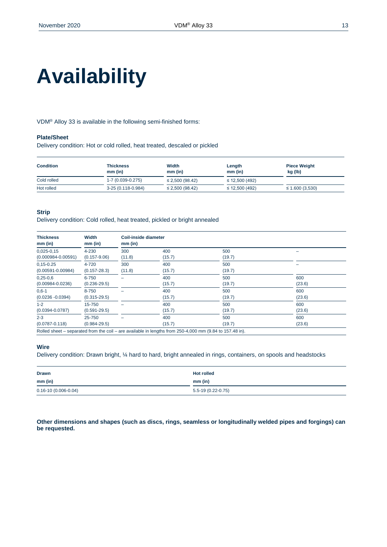# **Availability**

VDM® Alloy 33 is available in the following semi-finished forms:

#### **Plate/Sheet**

Delivery condition: Hot or cold rolled, heat treated, descaled or pickled

| <b>Condition</b> | Thickness<br>$mm$ (in) | Width<br>$mm$ (in)   | Length<br>$mm$ (in) | <b>Piece Weight</b><br>kg (lb) |  |
|------------------|------------------------|----------------------|---------------------|--------------------------------|--|
| Cold rolled      | 1-7 (0.039-0.275)      | $\leq$ 2,500 (98.42) | $\leq$ 12,500 (492) |                                |  |
| Hot rolled       | 3-25 (0.118-0.984)     | $\leq$ 2,500 (98.42) | $\leq$ 12,500 (492) | $\leq$ 1.600 (3,530)           |  |

#### **Strip**

Delivery condition: Cold rolled, heat treated, pickled or bright annealed

| <b>Thickness</b>       | Width            | Coil-inside diameter |        |        |        |  |  |
|------------------------|------------------|----------------------|--------|--------|--------|--|--|
| $mm$ (in)              | $mm$ (in)        | $mm$ (in)            |        |        |        |  |  |
| $0,025-0,15$           | 4-230            | 300                  | 400    | 500    |        |  |  |
| $(0.000984 - 0.00591)$ | $(0.157 - 9.06)$ | (11.8)               | (15.7) | (19.7) |        |  |  |
| $0,15 - 0.25$          | 4-720            | 300                  | 400    | 500    |        |  |  |
| $(0.00591 - 0.00984)$  | $(0.157 - 28.3)$ | (11.8)               | (15.7) | (19.7) |        |  |  |
| $0,25-0,6$             | 6-750            |                      | 400    | 500    | 600    |  |  |
| $(0.00984 - 0.0236)$   | $(0.236 - 29.5)$ |                      | (15.7) | (19.7) | (23.6) |  |  |
| $0,6-1$                | 8-750            |                      | 400    | 500    | 600    |  |  |
| $(0.0236 - 0.0394)$    | $(0.315 - 29.5)$ |                      | (15.7) | (19.7) | (23.6) |  |  |
| $1 - 2$                | 15-750           |                      | 400    | 500    | 600    |  |  |
| $(0.0394 - 0.0787)$    | $(0.591 - 29.5)$ |                      | (15.7) | (19.7) | (23.6) |  |  |
| $2 - 3$                | 25-750           |                      | 400    | 500    | 600    |  |  |
| $(0.0787 - 0.118)$     | $(0.984 - 29.5)$ |                      | (15.7) | (19.7) | (23.6) |  |  |

Rolled sheet – separated from the coil – are available in lengths from 250-4,000 mm (9.84 to 157.48 in).

#### **Wire**

Delivery condition: Drawn bright, ¼ hard to hard, bright annealed in rings, containers, on spools and headstocks

| <b>Drawn</b>              | <b>Hot rolled</b>  |
|---------------------------|--------------------|
| $mm$ (in)<br>$ -$         | $mm$ (in)          |
| $0.16 - 10(0.006 - 0.04)$ | 5.5-19 (0.22-0.75) |

**Other dimensions and shapes (such as discs, rings, seamless or longitudinally welded pipes and forgings) can be requested.**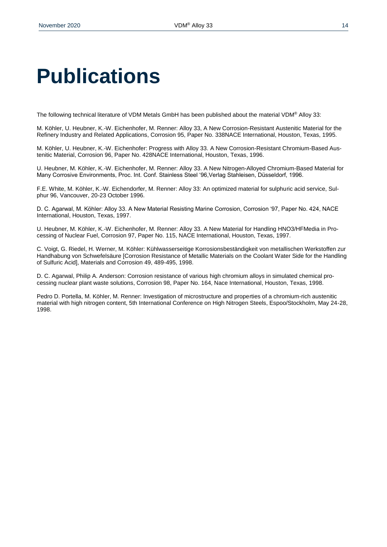# **Publications**

The following technical literature of VDM Metals GmbH has been published about the material VDM® Alloy 33:

M. Köhler, U. Heubner, K.-W. Eichenhofer, M. Renner: Alloy 33, A New Corrosion-Resistant Austenitic Material for the Refinery Industry and Related Applications, Corrosion 95, Paper No. 338NACE International, Houston, Texas, 1995.

M. Köhler, U. Heubner, K.-W. Eichenhofer: Progress with Alloy 33. A New Corrosion-Resistant Chromium-Based Austenitic Material, Corrosion 96, Paper No. 428NACE International, Houston, Texas, 1996.

U. Heubner, M. Köhler, K.-W. Eichenhofer, M. Renner: Alloy 33. A New Nitrogen-Alloyed Chromium-Based Material for Many Corrosive Environments, Proc. Int. Conf. Stainless Steel '96,Verlag Stahleisen, Düsseldorf, 1996.

F.E. White, M. Köhler, K.-W. Eichendorfer, M. Renner: Alloy 33: An optimized material for sulphuric acid service, Sulphur 96, Vancouver, 20-23 October 1996.

D. C. Agarwal, M. Köhler: Alloy 33. A New Material Resisting Marine Corrosion, Corrosion '97, Paper No. 424, NACE International, Houston, Texas, 1997.

U. Heubner, M. Köhler, K.-W. Eichenhofer, M. Renner: Alloy 33. A New Material for Handling HNO3/HFMedia in Processing of Nuclear Fuel, Corrosion 97, Paper No. 115, NACE International, Houston, Texas, 1997.

C. Voigt, G. Riedel, H. Werner, M. Köhler: Kühlwasserseitige Korrosionsbeständigkeit von metallischen Werkstoffen zur Handhabung von Schwefelsäure [Corrosion Resistance of Metallic Materials on the Coolant Water Side for the Handling of Sulfuric Acid], Materials and Corrosion 49, 489-495, 1998.

D. C. Agarwal, Philip A. Anderson: Corrosion resistance of various high chromium alloys in simulated chemical processing nuclear plant waste solutions, Corrosion 98, Paper No. 164, Nace International, Houston, Texas, 1998.

Pedro D. Portella, M. Köhler, M. Renner: Investigation of microstructure and properties of a chromium-rich austenitic material with high nitrogen content, 5th International Conference on High Nitrogen Steels, Espoo/Stockholm, May 24-28, 1998.